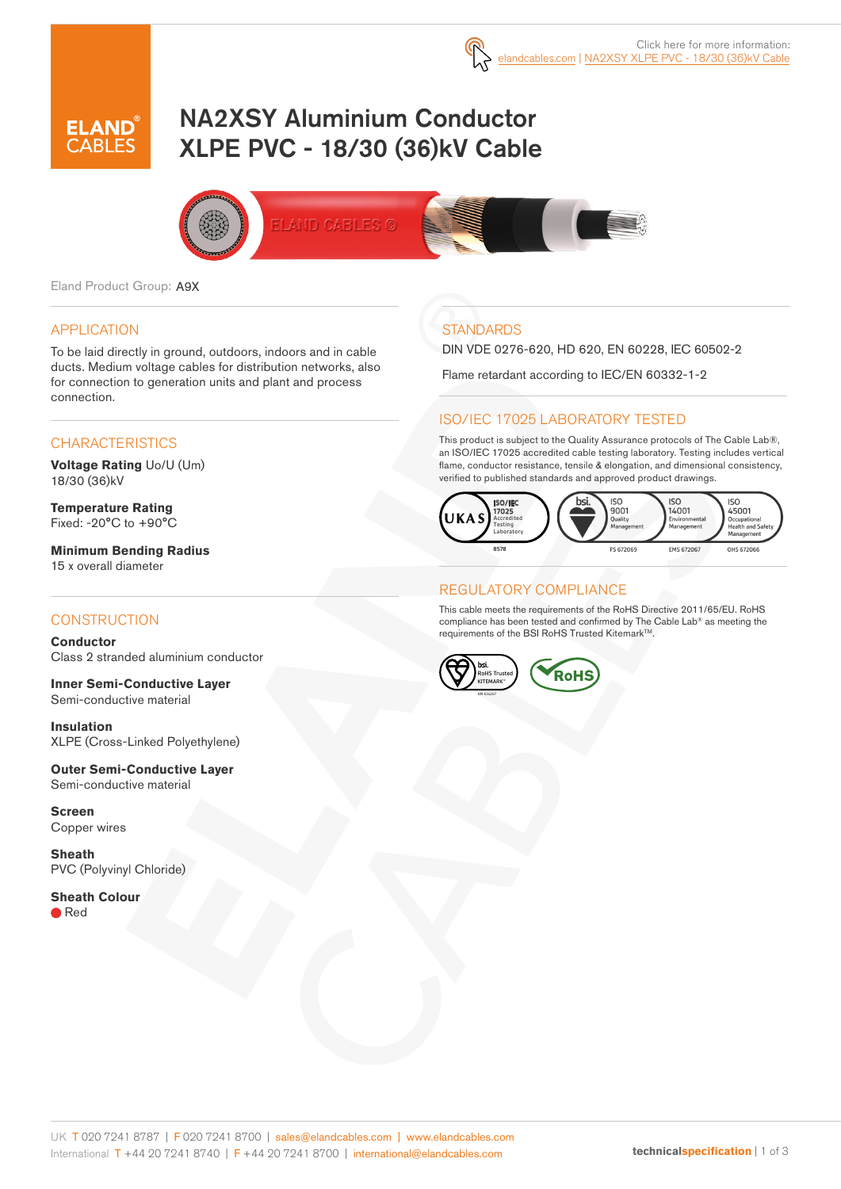

# NA2XSY Aluminium Conductor XLPE PVC - 18/30 (36)kV Cable



Eland Product Group: A9X

#### APPLICATION

To be laid directly in ground, outdoors, indoors and in cable ducts. Medium voltage cables for distribution networks, also for connection to generation units and plant and process connection.

### **CHARACTERISTICS**

**Voltage Rating** Uo/U (Um) 18/30 (36)kV

**Temperature Rating** Fixed: -20°C to +90°C

**Minimum Bending Radius**  15 x overall diameter

#### **CONSTRUCTION**

**Conductor** Class 2 stranded aluminium conductor

**Inner Semi-Conductive Layer** Semi-conductive material

**Insulation** XLPE (Cross-Linked Polyethylene)

**Outer Semi-Conductive Layer** Semi-conductive material

**Screen** Copper wires

**Sheath** PVC (Polyvinyl Chloride)

**Sheath Colour** ● Red

# **STANDARDS**

DIN VDE 0276-620, HD 620, EN 60228, IEC 60502-2

Flame retardant according to IEC/EN 60332-1-2

### ISO/IEC 17025 LABORATORY TESTED

This product is subject to the Quality Assurance protocols of The Cable Lab®, an ISO/IEC 17025 accredited cable testing laboratory. Testing includes vertical flame, conductor resistance, tensile & elongation, and dimensional consistency, verified to published standards and approved product drawings.



#### REGULATORY COMPLIANCE

This cable meets the requirements of the RoHS Directive 2011/65/EU. RoHS compliance has been tested and confirmed by The Cable Lab® as meeting the requirements of the BSI RoHS Trusted Kitemark<sup>™</sup>.